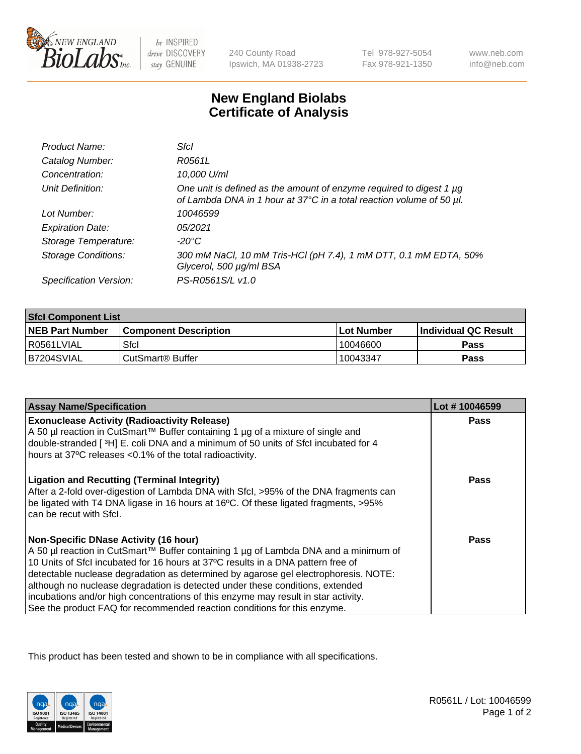

be INSPIRED drive DISCOVERY stay GENUINE

240 County Road Ipswich, MA 01938-2723 Tel 978-927-5054 Fax 978-921-1350

www.neb.com info@neb.com

## **New England Biolabs Certificate of Analysis**

| Product Name:              | Sfcl                                                                                                                                             |
|----------------------------|--------------------------------------------------------------------------------------------------------------------------------------------------|
| Catalog Number:            | R0561L                                                                                                                                           |
| Concentration:             | 10,000 U/ml                                                                                                                                      |
| Unit Definition:           | One unit is defined as the amount of enzyme required to digest 1 $\mu$ g<br>of Lambda DNA in 1 hour at 37°C in a total reaction volume of 50 µl. |
| Lot Number:                | 10046599                                                                                                                                         |
| <b>Expiration Date:</b>    | 05/2021                                                                                                                                          |
| Storage Temperature:       | -20°C                                                                                                                                            |
| <b>Storage Conditions:</b> | 300 mM NaCl, 10 mM Tris-HCl (pH 7.4), 1 mM DTT, 0.1 mM EDTA, 50%<br>Glycerol, 500 µg/ml BSA                                                      |
| Specification Version:     | PS-R0561S/L v1.0                                                                                                                                 |

| <b>Sfcl Component List</b> |                              |                   |                             |  |
|----------------------------|------------------------------|-------------------|-----------------------------|--|
| <b>NEB Part Number</b>     | <b>Component Description</b> | <b>Lot Number</b> | <b>Individual QC Result</b> |  |
| I R0561LVIAL               | Sfcl                         | 10046600          | <b>Pass</b>                 |  |
| IB7204SVIAL                | ⊧CutSmart® Buffer            | 10043347          | <b>Pass</b>                 |  |

| <b>Assay Name/Specification</b>                                                                                                                                                                                                                                                                                                                                                                                                                                                                                                                                   | Lot #10046599 |
|-------------------------------------------------------------------------------------------------------------------------------------------------------------------------------------------------------------------------------------------------------------------------------------------------------------------------------------------------------------------------------------------------------------------------------------------------------------------------------------------------------------------------------------------------------------------|---------------|
| <b>Exonuclease Activity (Radioactivity Release)</b><br>A 50 µl reaction in CutSmart™ Buffer containing 1 µg of a mixture of single and<br>double-stranded [3H] E. coli DNA and a minimum of 50 units of Sfcl incubated for 4<br>hours at 37°C releases <0.1% of the total radioactivity.                                                                                                                                                                                                                                                                          | <b>Pass</b>   |
| <b>Ligation and Recutting (Terminal Integrity)</b><br>After a 2-fold over-digestion of Lambda DNA with Sfcl, >95% of the DNA fragments can<br>be ligated with T4 DNA ligase in 16 hours at 16°C. Of these ligated fragments, >95%<br>can be recut with Sfcl.                                                                                                                                                                                                                                                                                                      | Pass          |
| <b>Non-Specific DNase Activity (16 hour)</b><br>A 50 µl reaction in CutSmart™ Buffer containing 1 µg of Lambda DNA and a minimum of<br>10 Units of Sfcl incubated for 16 hours at 37°C results in a DNA pattern free of<br>detectable nuclease degradation as determined by agarose gel electrophoresis. NOTE:<br>although no nuclease degradation is detected under these conditions, extended<br>incubations and/or high concentrations of this enzyme may result in star activity.<br>See the product FAQ for recommended reaction conditions for this enzyme. | <b>Pass</b>   |

This product has been tested and shown to be in compliance with all specifications.